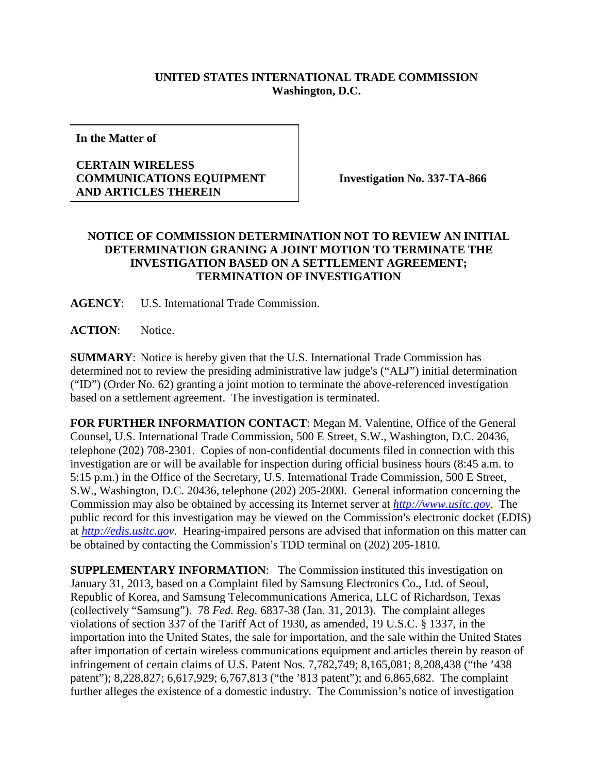## **UNITED STATES INTERNATIONAL TRADE COMMISSION Washington, D.C.**

**In the Matter of**

## **CERTAIN WIRELESS COMMUNICATIONS EQUIPMENT AND ARTICLES THEREIN**

**Investigation No. 337-TA-866**

## **NOTICE OF COMMISSION DETERMINATION NOT TO REVIEW AN INITIAL DETERMINATION GRANING A JOINT MOTION TO TERMINATE THE INVESTIGATION BASED ON A SETTLEMENT AGREEMENT; TERMINATION OF INVESTIGATION**

**AGENCY**: U.S. International Trade Commission.

**ACTION**: Notice.

**SUMMARY**: Notice is hereby given that the U.S. International Trade Commission has determined not to review the presiding administrative law judge's ("ALJ") initial determination ("ID") (Order No. 62) granting a joint motion to terminate the above-referenced investigation based on a settlement agreement. The investigation is terminated.

**FOR FURTHER INFORMATION CONTACT**: Megan M. Valentine, Office of the General Counsel, U.S. International Trade Commission, 500 E Street, S.W., Washington, D.C. 20436, telephone (202) 708-2301. Copies of non-confidential documents filed in connection with this investigation are or will be available for inspection during official business hours (8:45 a.m. to 5:15 p.m.) in the Office of the Secretary, U.S. International Trade Commission, 500 E Street, S.W., Washington, D.C. 20436, telephone (202) 205-2000. General information concerning the Commission may also be obtained by accessing its Internet server at *[http://www.usitc.gov](http://www.usitc.gov/)*. The public record for this investigation may be viewed on the Commission's electronic docket (EDIS) at *[http://edis.usitc.gov](http://edis.usitc.go/)*. Hearing-impaired persons are advised that information on this matter can be obtained by contacting the Commission's TDD terminal on (202) 205-1810.

**SUPPLEMENTARY INFORMATION**: The Commission instituted this investigation on January 31, 2013, based on a Complaint filed by Samsung Electronics Co., Ltd. of Seoul, Republic of Korea, and Samsung Telecommunications America, LLC of Richardson, Texas (collectively "Samsung"). 78 *Fed. Reg.* 6837-38 (Jan. 31, 2013).The complaint alleges violations of section 337 of the Tariff Act of 1930, as amended, 19 U.S.C. § 1337, in the importation into the United States, the sale for importation, and the sale within the United States after importation of certain wireless communications equipment and articles therein by reason of infringement of certain claims of U.S. Patent Nos. 7,782,749; 8,165,081; 8,208,438 ("the '438 patent"); 8,228,827; 6,617,929; 6,767,813 ("the '813 patent"); and 6,865,682. The complaint further alleges the existence of a domestic industry. The Commission's notice of investigation